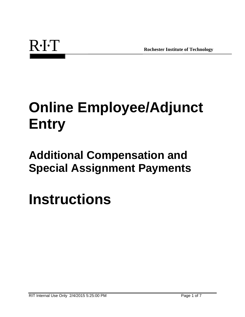# **Online Employee/Adjunct Entry**

# **Additional Compensation and Special Assignment Payments**

**Instructions**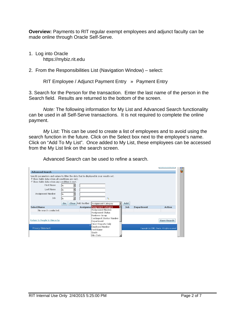**Overview:** Payments to RIT regular exempt employees and adjunct faculty can be made online through Oracle Self-Serve.

- 1. Log into Oracle https://mybiz.rit.edu
- 2. From the Responsibilities List (Navigation Window) select:

```
RIT Employee / Adjunct Payment Entry » Payment Entry
```
3. Search for the Person for the transaction. Enter the last name of the person in the Search field. Results are returned to the bottom of the screen.

*Note:* The following information for My List and Advanced Search functionality can be used in all Self-Serve transactions. It is not required to complete the online payment.

*My* List: This can be used to create a list of employees and to avoid using the search function in the future. Click on the Select box next to the employee's name. Click on "Add To My List". Once added to My List, these employees can be accessed from the My List link on the search screen.

| <b>Advanced Search</b>                                                                                                                                                                                                                                  |                       |                   |                                                                                        |     |            |                                                  |  |
|---------------------------------------------------------------------------------------------------------------------------------------------------------------------------------------------------------------------------------------------------------|-----------------------|-------------------|----------------------------------------------------------------------------------------|-----|------------|--------------------------------------------------|--|
| Specify parameters and values to filter the data that is displayed in your results set.<br>C Show table data when all conditions are met.<br>C Show table data when any condition is met.<br><b>First Name</b><br>Last Name<br>Assignment Number<br>Job | lis<br>is<br>is<br>is |                   | $\mathbf Q$                                                                            |     |            |                                                  |  |
|                                                                                                                                                                                                                                                         | Go                    | Clear Add Another | Assignment Category                                                                    | Add |            |                                                  |  |
| <b>Select Name</b>                                                                                                                                                                                                                                      |                       |                   | <b>Assignme Assignment Category</b>                                                    | Job | Department | Action                                           |  |
| No search conducted.                                                                                                                                                                                                                                    |                       |                   | Assignment Number                                                                      |     |            |                                                  |  |
|                                                                                                                                                                                                                                                         |                       |                   | Assignment Status                                                                      |     |            |                                                  |  |
| Return to People in Hierarchy                                                                                                                                                                                                                           |                       |                   | <b>Business Group</b><br>Contingent Worker Number<br>Department<br>Direct Reports Only |     |            | Save Search                                      |  |
| Privacy Statement                                                                                                                                                                                                                                       |                       |                   | Employee Number<br>First Name                                                          |     |            | Copyright (c) 2006, Oracle. All rights reserved. |  |
|                                                                                                                                                                                                                                                         |                       |                   | Grade<br>Hire Date                                                                     |     |            |                                                  |  |

Advanced Search can be used to refine a search.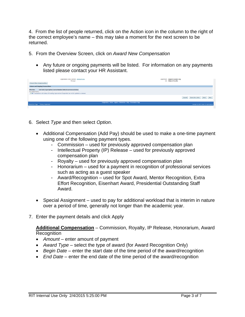4. From the list of people returned, click on the Action icon in the column to the right of the correct employee's name – this may take a moment for the next screen to be returned.

- 5. From the Overview Screen, click on *Award New Compensation*
	- Any future or ongoing payments will be listed. For information on any payments listed please contact your HR Assistant.

| urganization Email Address grategint.edu<br>Manager<br>Award New Compensation                                                                                                                          | <b>Department Adjunct Faculty Urg</b><br>Job Adjunct Faculty                                                  |
|--------------------------------------------------------------------------------------------------------------------------------------------------------------------------------------------------------|---------------------------------------------------------------------------------------------------------------|
| <b>Future and Ongoing Transactions</b>                                                                                                                                                                 |                                                                                                               |
| End Date Type Option Course Number Units Occurrences Status<br><b>Effective</b><br>No results found.<br>TIP Transactions with status of Awaiting Approval and Suspended can not be updated or deleted. |                                                                                                               |
|                                                                                                                                                                                                        | Cancel Save For Later Back Next                                                                               |
| About this Page Privacy Statement                                                                                                                                                                      | Diagnostics Home Logout Preferences Help Personalize Page<br>Copyright (d) 2006, Oracle. All rights reserved. |
|                                                                                                                                                                                                        |                                                                                                               |

- 6. Select *Type* and then select *Option*.
	- Additional Compensation (Add Pay) should be used to make a one-time payment using one of the following payment types.
		- Commission used for previously approved compensation plan
		- Intellectual Property (IP) Release used for previously approved compensation plan
		- Royalty used for previously approved compensation plan
		- Honorarium used for a payment in recognition of professional services such as acting as a guest speaker
		- Award/Recognition used for Spot Award, Mentor Recognition, Extra Effort Recognition, Eisenhart Award, Presidential Outstanding Staff Award.
	- Special Assignment used to pay for additional workload that is interim in nature over a period of time, generally not longer than the academic year.
- 7. Enter the payment details and click Apply

**Additional Compensation** – Commission, Royalty, IP Release, Honorarium, Award **Recognition** 

- *Amount* enter amount of payment
- *Award Type* select the type of award (for Award Recognition Only)
- *Begin Date* enter the start date of the time period of the award/recognition
- *End Date* enter the end date of the time period of the award/recognition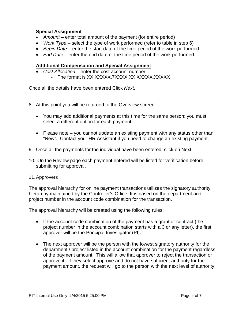# **Special Assignment**

- *Amount* enter total amount of the payment (for entire period)
- *Work Type* select the type of work performed (refer to table in step 6)
- *Begin Date* enter the start date of the time period of the work performed
- *End Date* enter the end date of the time period of the work performed

### **Additional Compensation and Special Assignment**

• Cost Allocation – enter the cost account number - The format is XX.XXXXX.7XXXX.XX.XXXXX.XXXXXX

Once all the details have been entered Click *Next*.

- 8. At this point you will be returned to the Overview screen.
	- You may add additional payments at this time for the same person; you must select a different option for each payment.
	- Please note you cannot update an existing payment with any status other than "New". Contact your HR Assistant if you need to change an existing payment.
- 9. Once all the payments for the individual have been entered, click on Next.
- 10. On the Review page each payment entered will be listed for verification before submitting for approval.
- 11. Approvers

The approval hierarchy for online payment transactions utilizes the signatory authority hierarchy maintained by the Controller's Office. It is based on the department and project number in the account code combination for the transaction.

The approval hierarchy will be created using the following rules:

- If the account code combination of the payment has a grant or contract (the project number in the account combination starts with a 3 or any letter), the first approver will be the Principal Investigator (PI).
- The next approver will be the person with the lowest signatory authority for the department / project listed in the account combination for the payment regardless of the payment amount. This will allow that approver to reject the transaction or approve it. If they select approve and do not have sufficient authority for the payment amount, the request will go to the person with the next level of authority.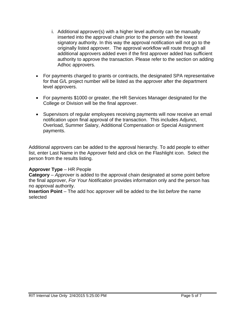- i. Additional approver(s) with a higher level authority can be manually inserted into the approval chain prior to the person with the lowest signatory authority. In this way the approval notification will not go to the originally listed approver. The approval workflow will route through all additional approvers added even if the first approver added has sufficient authority to approve the transaction. Please refer to the section on adding Adhoc approvers.
- For payments charged to grants or contracts, the designated SPA representative for that G/L project number will be listed as the approver after the department level approvers.
- For payments \$1000 or greater, the HR Services Manager designated for the College or Division will be the final approver.
- Supervisors of regular employees receiving payments will now receive an email notification upon final approval of the transaction. This includes Adjunct, Overload, Summer Salary, Additional Compensation or Special Assignment payments.

Additional approvers can be added to the approval hierarchy. To add people to either list, enter Last Name in the Approver field and click on the Flashlight icon. Select the person from the results listing.

#### **Approver Type** – HR People

**Category** – *Approver* is added to the approval chain designated at some point before the final approver, *For Your Notification* provides information only and the person has no approval authority.

**Insertion Point** – The add hoc approver will be added to the list *before* the name selected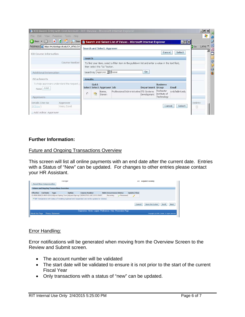|                                                          |                                                  |                |              |                              | <sup>2</sup> ICD Award Entry with Cost Account - RIT: Review - Microsoft Internet Explorer        |                  |                                         |                  |        | $  $ $\Theta$      |
|----------------------------------------------------------|--------------------------------------------------|----------------|--------------|------------------------------|---------------------------------------------------------------------------------------------------|------------------|-----------------------------------------|------------------|--------|--------------------|
| Edit<br>File                                             | View Favorites Tools Help                        |                |              |                              |                                                                                                   |                  |                                         |                  |        |                    |
| $\bigoplus$ Back $\bigstar$ $\bigoplus$<br>$\mathcal{L}$ | $\vert x \vert$ $\vert z \vert$<br>Sean          |                |              |                              | Search and Select List of Values - Microsoft Internet Explorer                                    |                  |                                         | $ \Box$ $\times$ |        |                    |
|                                                          | Address e https://mybizstage.rit.edu/OA_HTML/OA. |                |              | Search and Select: Approver  |                                                                                                   |                  |                                         |                  | Go.    | Links <sup>»</sup> |
| <b>ICD Course Information</b>                            |                                                  |                |              |                              |                                                                                                   |                  | Cancel                                  | Select           |        |                    |
|                                                          |                                                  | Search         |              |                              |                                                                                                   |                  |                                         |                  |        |                    |
|                                                          | Course Number                                    |                |              |                              | To find your item, select a filter item in the pulldown list and enter a value in the text field, |                  |                                         |                  |        |                    |
|                                                          |                                                  |                |              | then select the "Go" button. |                                                                                                   |                  |                                         |                  |        |                    |
| Additional Information                                   |                                                  |                |              | Search By Approver 1 Boese   |                                                                                                   | Go               |                                         |                  |        |                    |
| <b>Attachments</b>                                       |                                                  | <b>Results</b> |              |                              |                                                                                                   |                  |                                         |                  |        |                    |
| None Add                                                 | To help approvers understand the request,        |                | <b>Quick</b> | Select Select Approver Job   |                                                                                                   | Department Group | <b>Business</b>                         | Email            |        |                    |
| Approvers                                                |                                                  | $\circ$        | 監            | Boese,<br>Steven             | Professional/Administrative ITS Systems                                                           | Development      | Rochester<br>Institute of<br>Technology | smbfa@rit.edu    |        |                    |
|                                                          | Approver                                         |                |              |                              |                                                                                                   |                  |                                         |                  | Delete |                    |
| Details Line No                                          |                                                  |                |              |                              |                                                                                                   |                  | Cancel                                  | Select           | î      |                    |

# **Further Information:**

#### Future and Ongoing Transactions Overview

This screen will list all online payments with an end date after the current date. Entries with a Status of "New" can be updated. For changes to other entries please contact your HR Assistant.

|                  | <b>Award New Compensation</b> | <b>Future and Ongoing Transactions Overview</b> | manager       |                                                                                                                                                                                         |                                 |           | JOD                | <b>AGJUNCE FACUITY</b>                              |
|------------------|-------------------------------|-------------------------------------------------|---------------|-----------------------------------------------------------------------------------------------------------------------------------------------------------------------------------------|---------------------------------|-----------|--------------------|-----------------------------------------------------|
| <b>Effective</b> | <b>End Date</b>               | <b>Type</b>                                     | <b>Option</b> | <b>Course Number</b>                                                                                                                                                                    | <b>Units Occurrences Status</b> |           | <b>Update/View</b> |                                                     |
|                  |                               |                                                 |               | 01-FEB-2014 31-MAY-2014 Adjunct Spring Term Adjunct Spring 1 SOFA57101.LEC.2135.55607<br>TIP Transactions with status of Awaiting Approval and Suspended can not be updated or deleted. | Recurring                       | Processed |                    |                                                     |
|                  |                               |                                                 |               |                                                                                                                                                                                         |                                 |           | Cancel             | <b>Next</b><br><b>Back</b><br><b>Save For Later</b> |
| About this Page  |                               | Privacy Statement                               |               | Diagnostics Home Logout Preferences Help Personalize Page                                                                                                                               |                                 |           |                    | Copyright (c) 2006, Oracle. All rights reserved.    |

#### Error Handling:

Error notifications will be generated when moving from the Overview Screen to the Review and Submit screen.

- The account number will be validated
- The start date will be validated to ensure it is not prior to the start of the current Fiscal Year
- Only transactions with a status of "new" can be updated.